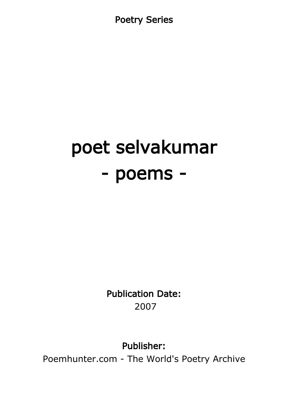Poetry Series

# poet selvakumar - poems -

Publication Date: 2007

Publisher:

Poemhunter.com - The World's Poetry Archive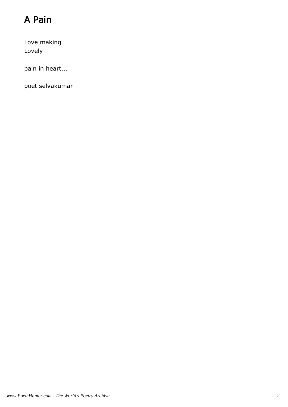# A Pain

Love making Lovely

pain in heart...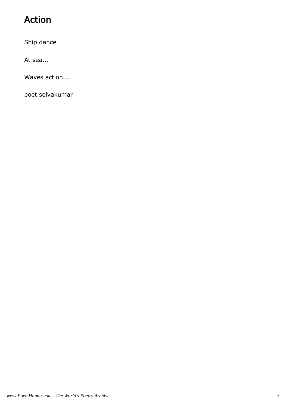# Action

Ship dance

At sea...

Waves action...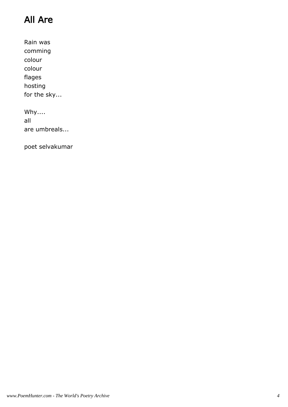# All Are

Rain was comming colour colour flages hosting for the sky...

Why.... all are umbreals...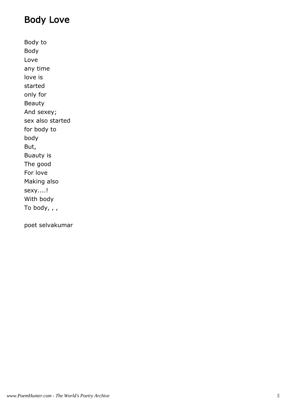#### Body Love

Body to Body Love any time love is started only for Beauty And sexey; sex also started for body to body But, Buauty is The good For love Making also sexy....! With body To body, , ,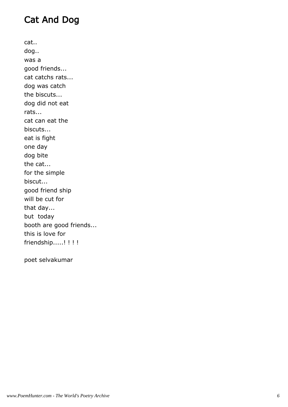## Cat And Dog

cat.. dog.. was a good friends... cat catchs rats... dog was catch the biscuts... dog did not eat rats... cat can eat the biscuts... eat is fight one day dog bite the cat... for the simple biscut... good friend ship will be cut for that day... but today booth are good friends... this is love for friendship.....!!!!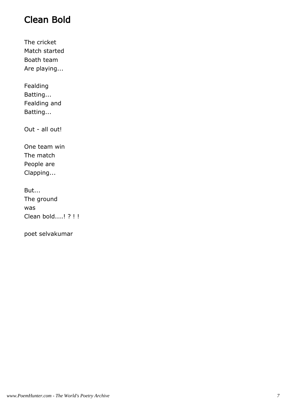#### Clean Bold

The cricket Match started Boath team Are playing...

Fealding Batting... Fealding and Batting...

Out - all out!

One team win The match People are Clapping...

But... The ground was Clean bold....! ? ! !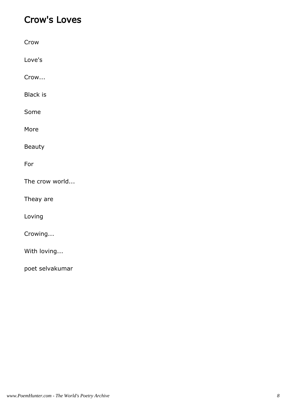#### Crow's Loves

| Crow            |
|-----------------|
| Love's          |
| Crow            |
| <b>Black is</b> |
| Some            |
| More            |
| <b>Beauty</b>   |
| For             |
| The crow world  |
| Theay are       |
| Loving          |
| Crowing         |
| With loving     |
| poet selvakumar |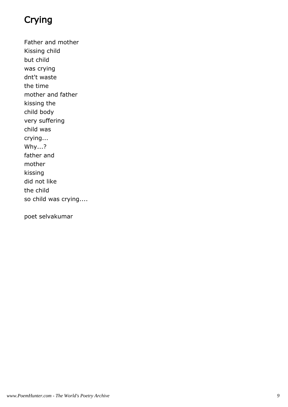# Crying

Father and mother Kissing child but child was crying dnt't waste the time mother and father kissing the child body very suffering child was crying... Why...? father and mother kissing did not like the child so child was crying....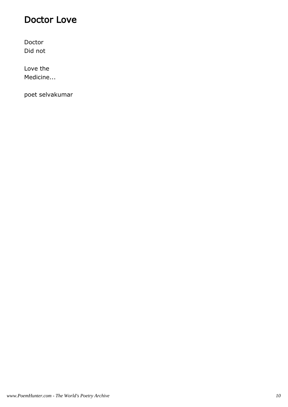#### Doctor Love

Doctor Did not

Love the Medicine...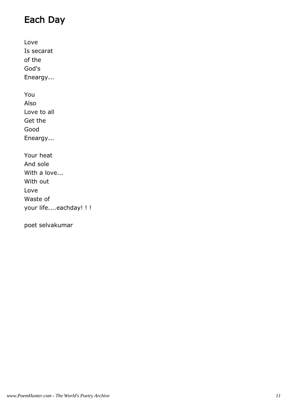### Each Day

Love Is secarat of the God's Eneargy... You Also Love to all Get the Good Eneargy... Your heat And sole With a love... With out Love Waste of your life....eachday! ! !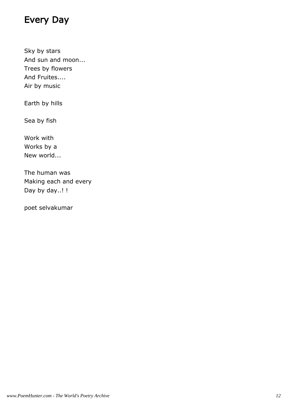#### Every Day

Sky by stars And sun and moon... Trees by flowers And Fruites.... Air by music

Earth by hills

Sea by fish

Work with Works by a New world...

The human was Making each and every Day by day..!!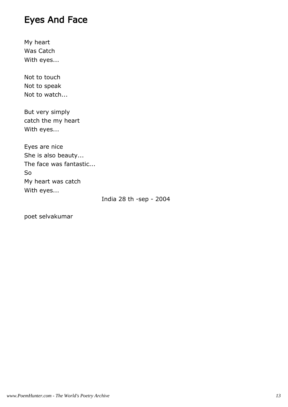#### Eyes And Face

My heart Was Catch With eyes...

Not to touch Not to speak Not to watch...

But very simply catch the my heart With eyes...

Eyes are nice She is also beauty... The face was fantastic... So My heart was catch With eyes...

India 28 th -sep - 2004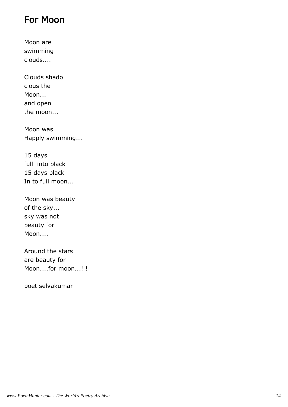#### For Moon

Moon are swimming clouds....

Clouds shado clous the Moon... and open the moon...

Moon was Happly swimming...

15 days full into black 15 days black In to full moon...

Moon was beauty of the sky... sky was not beauty for Moon....

Around the stars are beauty for Moon....for moon...! !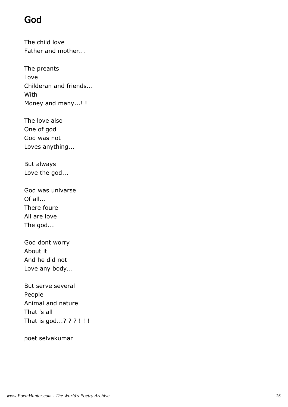#### God

The child love Father and mother...

The preants Love Childeran and friends... With Money and many...! !

The love also One of god God was not Loves anything...

But always Love the god...

God was univarse Of all... There foure All are love The god...

God dont worry About it And he did not Love any body...

But serve several People Animal and nature That 's all That is god...? ? ? ! ! !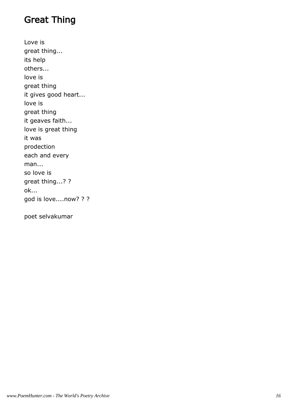#### Great Thing

Love is great thing... its help others... love is great thing it gives good heart... love is great thing it geaves faith... love is great thing it was prodection each and every man... so love is great thing...? ? ok... god is love....now? ? ?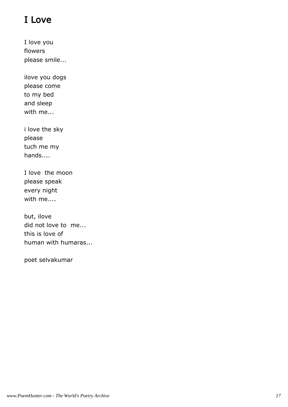# I Love

I love you flowers please smile...

ilove you dogs please come to my bed and sleep with me...

i love the sky please tuch me my hands....

I love the moon please speak every night with me....

but, ilove did not love to me... this is love of human with humaras...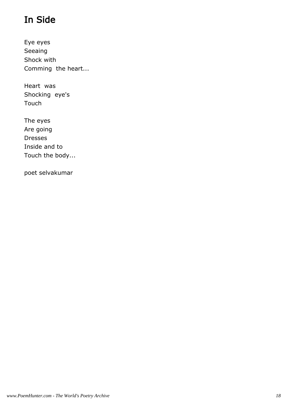# In Side

Eye eyes Seeaing Shock with Comming the heart...

Heart was Shocking eye's Touch

The eyes Are going Dresses Inside and to Touch the body...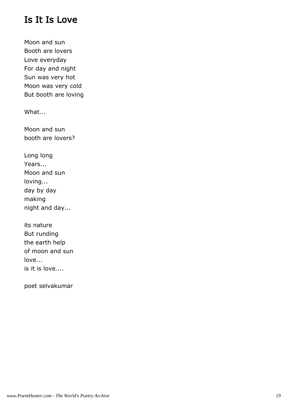#### Is It Is Love

Moon and sun Booth are lovers Love everyday For day and night Sun was very hot Moon was very cold But booth are loving

What...

Moon and sun booth are lovers?

Long long Years... Moon and sun loving... day by day making night and day...

its nature But runding the earth help of moon and sun love... is it is love....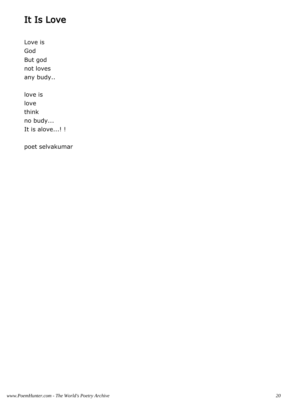# It Is Love

Love is God But god not loves any budy..

love is love think no budy... It is alove...! !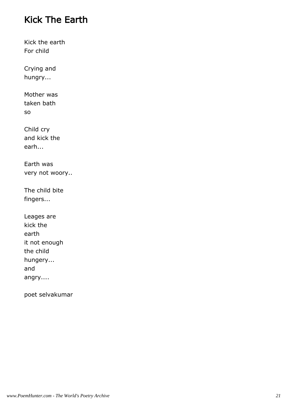#### Kick The Earth

Kick the earth For child

Crying and hungry...

Mother was taken bath so

Child cry and kick the earh...

Earth was very not woory..

The child bite fingers...

| Leages are    |
|---------------|
| kick the      |
| earth         |
| it not enough |
| the child     |
| hungery       |
| and           |
| angry         |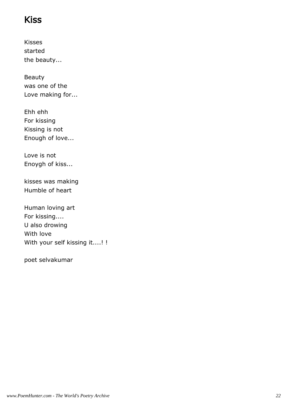#### Kiss

Kisses started the beauty...

Beauty was one of the Love making for...

Ehh ehh For kissing Kissing is not Enough of love...

Love is not Enoygh of kiss...

kisses was making Humble of heart

Human loving art For kissing.... U also drowing With love With your self kissing it....! !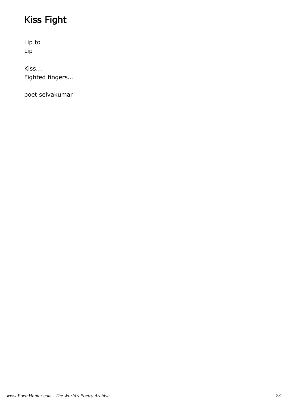# Kiss Fight

Lip to Lip

Kiss... Fighted fingers...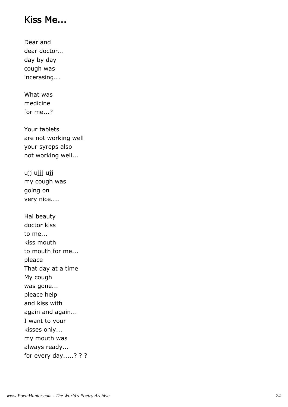#### Kiss Me...

Dear and dear doctor... day by day cough was incerasing...

What was medicine for me...?

Your tablets are not working well your syreps also not working well...

ujj ujjj ujj my cough was going on very nice....

Hai beauty doctor kiss to me... kiss mouth to mouth for me... pleace That day at a time My cough was gone... pleace help and kiss with again and again... I want to your kisses only... my mouth was always ready... for every day.....? ? ?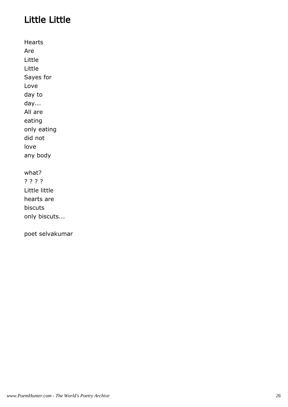# Little Little

Hearts Are Little Little Sayes for Love day to day... All are eating only eating did not love any body

#### what?

? ? ? ? Little little hearts are biscuts only biscuts...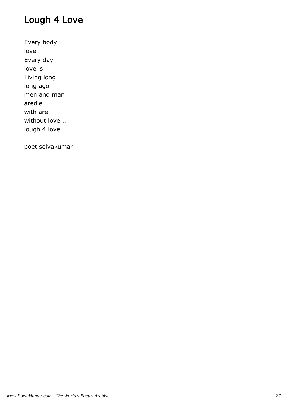#### Lough 4 Love

Every body love Every day love is Living long long ago men and man aredie with are without love... lough 4 love....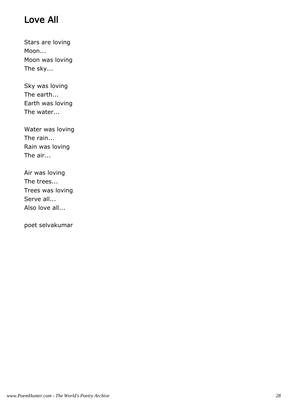# Love All

Stars are loving Moon... Moon was loving The sky...

Sky was loving The earth... Earth was loving The water...

Water was loving The rain... Rain was loving The air...

Air was loving The trees... Trees was loving Serve all... Also love all...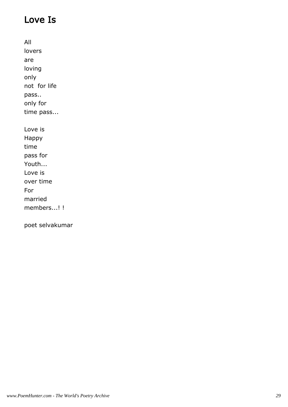## Love Is

All lovers are loving only not for life pass.. only for time pass... Love is Happy time pass for Youth... Love is over time For married members...! !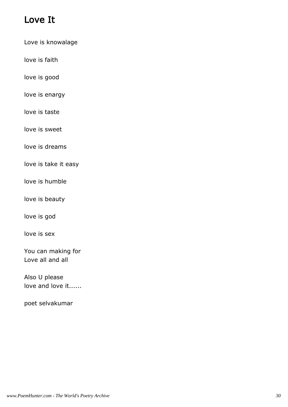#### Love It

Love is knowalage

love is faith

love is good

love is enargy

love is taste

love is sweet

love is dreams

love is take it easy

love is humble

love is beauty

love is god

love is sex

You can making for Love all and all

Also U please love and love it......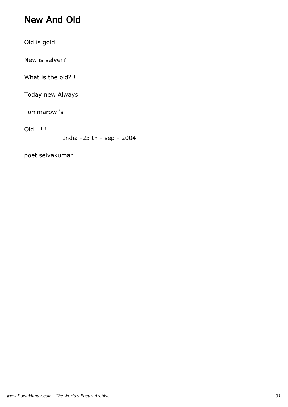#### New And Old

Old is gold

New is selver?

What is the old? !

Today new Always

Tommarow 's

Old...! !

India -23 th - sep - 2004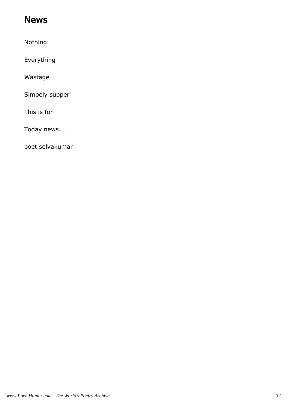#### News

Nothing

Everything

Wastage

Simpely supper

This is for

Today news...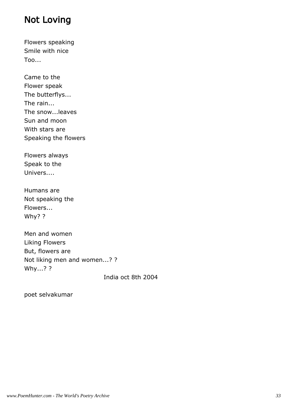#### Not Loving

Flowers speaking Smile with nice Too...

Came to the Flower speak The butterflys... The rain... The snow...leaves Sun and moon With stars are Speaking the flowers

Flowers always Speak to the Univers....

Humans are Not speaking the Flowers... Why? ?

Men and women Liking Flowers But, flowers are Not liking men and women...? ? Why...? ?

India oct 8th 2004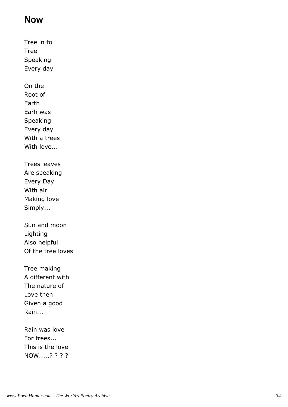#### Now

Tree in to Tree Speaking Every day On the Root of Earth Earh was Speaking Every day With a trees With love... Trees leaves Are speaking Every Day With air Making love Simply... Sun and moon Lighting Also helpful Of the tree loves Tree making A different with The nature of Love then Given a good Rain...

Rain was love For trees... This is the love NOW.....? ? ? ?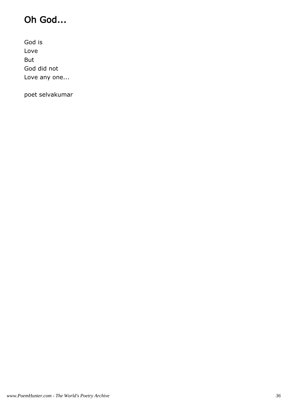# Oh God...

God is Love But God did not Love any one...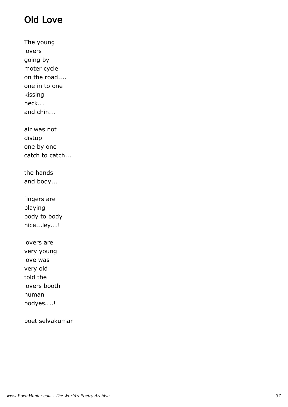# Old Love

The young lovers going by moter cycle on the road.... one in to one kissing neck... and chin... air was not distup one by one catch to catch... the hands and body... fingers are playing body to body nice...ley...! lovers are very young love was very old told the lovers booth human bodyes....!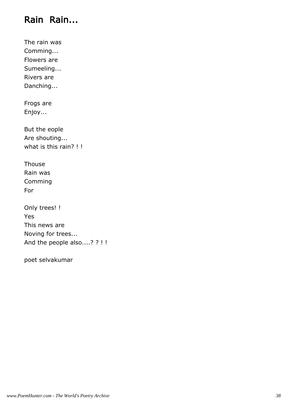#### Rain Rain...

The rain was Comming... Flowers are Sumeeling... Rivers are Danching...

Frogs are Enjoy...

But the eople Are shouting... what is this rain? !!

Thouse Rain was Comming For

Only trees! ! Yes This news are Noving for trees... And the people also....? ? ! !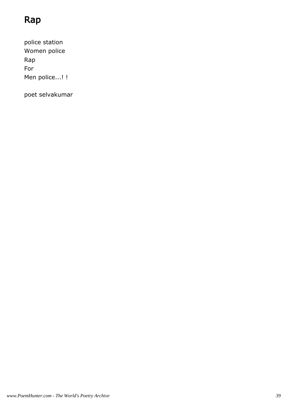# Rap

police station Women police Rap For Men police...!!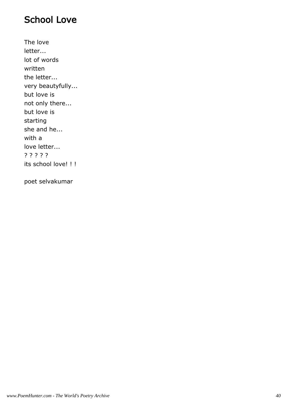#### School Love

The love letter... lot of words written the letter... very beautyfully... but love is not only there... but love is starting she and he... with a love letter... ? ? ? ? ? its school love! ! !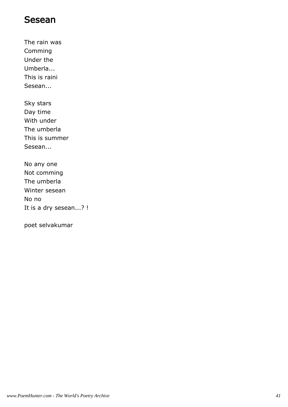#### Sesean

The rain was Comming Under the Umberla... This is raini Sesean...

Sky stars Day time With under The umberla This is summer Sesean...

No any one Not comming The umberla Winter sesean No no It is a dry sesean...? !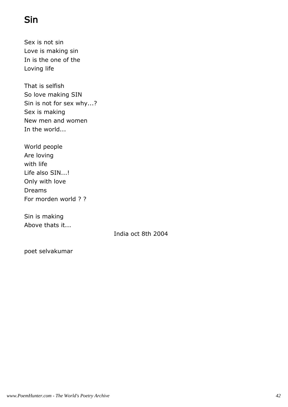# Sin

Sex is not sin Love is making sin In is the one of the Loving life

That is selfish So love making SIN Sin is not for sex why...? Sex is making New men and women In the world...

World people Are loving with life Life also SIN...! Only with love Dreams For morden world ? ?

Sin is making Above thats it...

India oct 8th 2004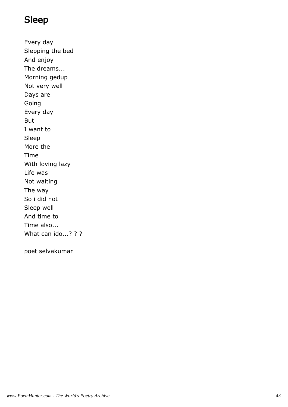#### Sleep

Every day Slepping the bed And enjoy The dreams... Morning gedup Not very well Days are Going Every day But I want to Sleep More the Time With loving lazy Life was Not waiting The way So i did not Sleep well And time to Time also... What can ido...? ? ?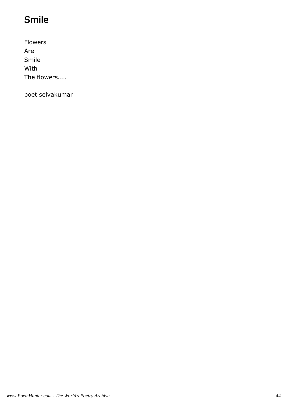# Smile

Flowers Are Smile With The flowers....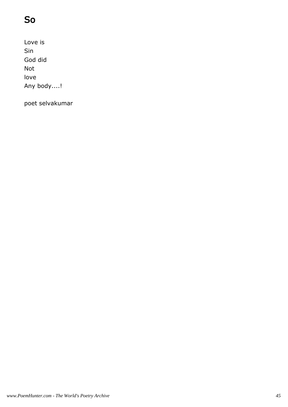# So

Love is Sin God did Not love Any body....!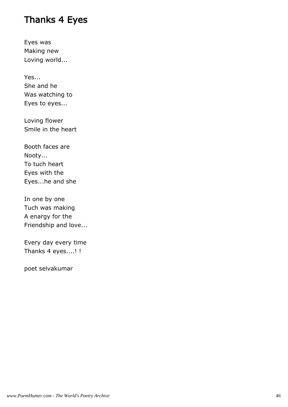#### Thanks 4 Eyes

Eyes was Making new Loving world...

Yes... She and he Was watching to Eyes to eyes...

Loving flower Smile in the heart

Booth faces are Nooty... To tuch heart Eyes with the Eyes...he and she

In one by one Tuch was making A enargy for the Friendship and love...

Every day every time Thanks 4 eyes....! !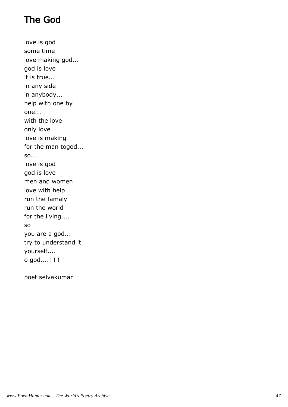# The God

love is god some time love making god... god is love it is true... in any side in anybody... help with one by one... with the love only love love is making for the man togod... so... love is god god is love men and women love with help run the famaly run the world for the living.... so you are a god... try to understand it yourself.... o god....! ! ! !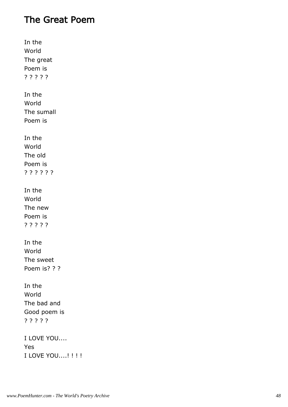#### The Great Poem

In the World The great Poem is ? ? ? ? ? In the World The sumall Poem is In the World The old Poem is ? ? ? ? ? ? In the World The new Poem is ? ? ? ? ? In the World The sweet Poem is? ? ? In the World The bad and Good poem is ? ? ? ? ? I LOVE YOU.... Yes I LOVE YOU....! ! ! !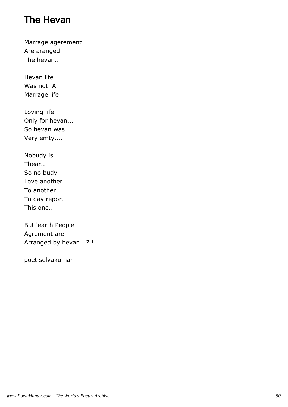#### The Hevan

Marrage agerement Are aranged The hevan...

Hevan life Was not A Marrage life!

Loving life Only for hevan... So hevan was Very emty....

Nobudy is Thear... So no budy Love another To another... To day report This one...

But 'earth People Agrement are Arranged by hevan...? !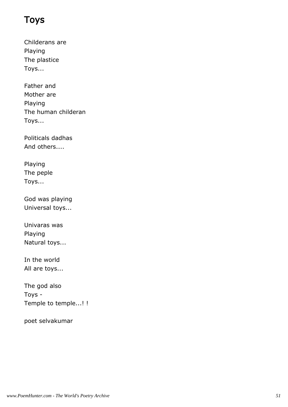#### Toys

Childerans are Playing The plastice Toys...

Father and Mother are Playing The human childeran Toys...

Politicals dadhas And others....

Playing The peple Toys...

God was playing Universal toys...

Univaras was Playing Natural toys...

In the world All are toys...

The god also Toys - Temple to temple...! !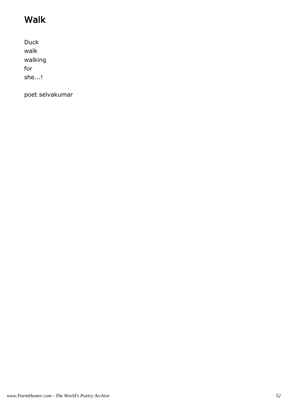# Walk

Duck walk walking for she...!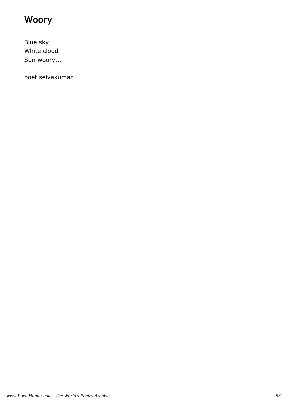# Woory

Blue sky White cloud Sun woory...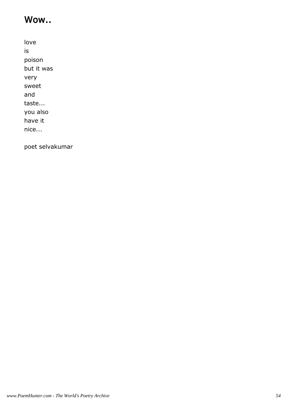#### Wow..

love is poison but it was very sweet and taste... you also have it nice...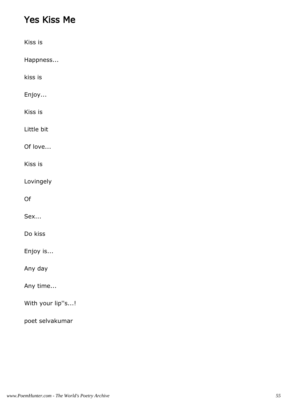#### Yes Kiss Me

| Kiss is          |  |  |  |
|------------------|--|--|--|
| Happness         |  |  |  |
| kiss is          |  |  |  |
| Enjoy            |  |  |  |
| Kiss is          |  |  |  |
| Little bit       |  |  |  |
| Of love          |  |  |  |
| Kiss is          |  |  |  |
| Lovingely        |  |  |  |
| Of               |  |  |  |
| Sex              |  |  |  |
| Do kiss          |  |  |  |
| Enjoy is         |  |  |  |
| Any day          |  |  |  |
| Any time         |  |  |  |
| With your lip"s! |  |  |  |
| poet selvakumar  |  |  |  |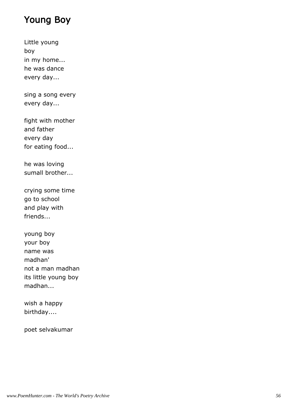#### Young Boy

Little young boy in my home... he was dance every day...

sing a song every every day...

fight with mother and father every day for eating food...

he was loving sumall brother...

crying some time go to school and play with friends...

young boy your boy name was madhan' not a man madhan its little young boy madhan...

wish a happy birthday....